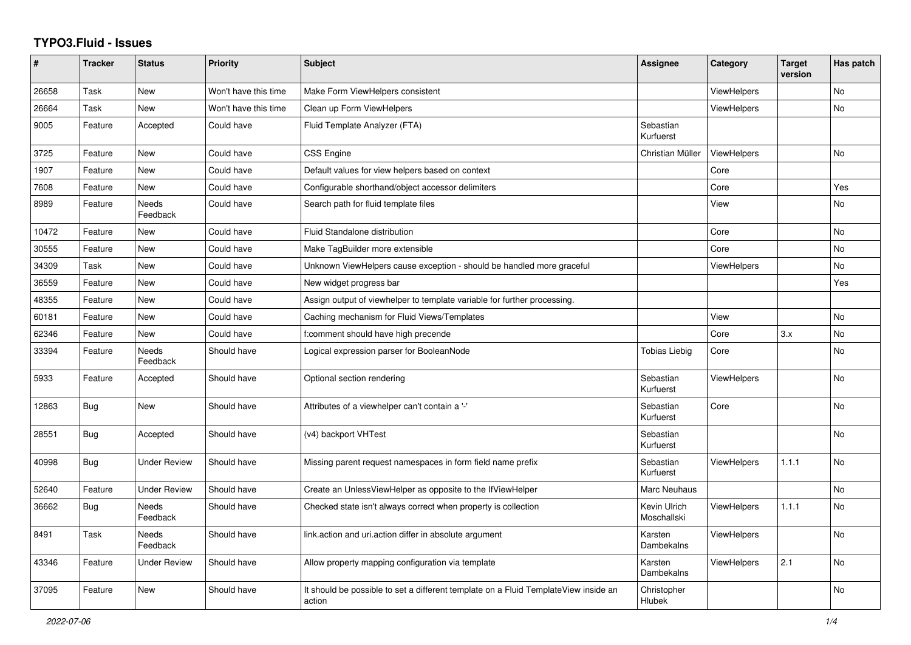## **TYPO3.Fluid - Issues**

| #     | <b>Tracker</b> | <b>Status</b>            | Priority             | <b>Subject</b>                                                                                | Assignee                    | Category           | <b>Target</b><br>version | Has patch |
|-------|----------------|--------------------------|----------------------|-----------------------------------------------------------------------------------------------|-----------------------------|--------------------|--------------------------|-----------|
| 26658 | Task           | New                      | Won't have this time | Make Form ViewHelpers consistent                                                              |                             | <b>ViewHelpers</b> |                          | No        |
| 26664 | Task           | New                      | Won't have this time | Clean up Form ViewHelpers                                                                     |                             | ViewHelpers        |                          | No        |
| 9005  | Feature        | Accepted                 | Could have           | Fluid Template Analyzer (FTA)                                                                 | Sebastian<br>Kurfuerst      |                    |                          |           |
| 3725  | Feature        | New                      | Could have           | <b>CSS Engine</b>                                                                             | Christian Müller            | <b>ViewHelpers</b> |                          | <b>No</b> |
| 1907  | Feature        | New                      | Could have           | Default values for view helpers based on context                                              |                             | Core               |                          |           |
| 7608  | Feature        | New                      | Could have           | Configurable shorthand/object accessor delimiters                                             |                             | Core               |                          | Yes       |
| 8989  | Feature        | <b>Needs</b><br>Feedback | Could have           | Search path for fluid template files                                                          |                             | View               |                          | No        |
| 10472 | Feature        | New                      | Could have           | Fluid Standalone distribution                                                                 |                             | Core               |                          | No        |
| 30555 | Feature        | New                      | Could have           | Make TagBuilder more extensible                                                               |                             | Core               |                          | <b>No</b> |
| 34309 | Task           | New                      | Could have           | Unknown ViewHelpers cause exception - should be handled more graceful                         |                             | ViewHelpers        |                          | <b>No</b> |
| 36559 | Feature        | New                      | Could have           | New widget progress bar                                                                       |                             |                    |                          | Yes       |
| 48355 | Feature        | New                      | Could have           | Assign output of viewhelper to template variable for further processing.                      |                             |                    |                          |           |
| 60181 | Feature        | <b>New</b>               | Could have           | Caching mechanism for Fluid Views/Templates                                                   |                             | View               |                          | <b>No</b> |
| 62346 | Feature        | New                      | Could have           | f:comment should have high precende                                                           |                             | Core               | 3.x                      | No        |
| 33394 | Feature        | Needs<br>Feedback        | Should have          | Logical expression parser for BooleanNode                                                     | <b>Tobias Liebig</b>        | Core               |                          | No        |
| 5933  | Feature        | Accepted                 | Should have          | Optional section rendering                                                                    | Sebastian<br>Kurfuerst      | <b>ViewHelpers</b> |                          | No        |
| 12863 | <b>Bug</b>     | New                      | Should have          | Attributes of a viewhelper can't contain a '-'                                                | Sebastian<br>Kurfuerst      | Core               |                          | No        |
| 28551 | Bug            | Accepted                 | Should have          | (v4) backport VHTest                                                                          | Sebastian<br>Kurfuerst      |                    |                          | No        |
| 40998 | Bug            | <b>Under Review</b>      | Should have          | Missing parent request namespaces in form field name prefix                                   | Sebastian<br>Kurfuerst      | <b>ViewHelpers</b> | 1.1.1                    | <b>No</b> |
| 52640 | Feature        | <b>Under Review</b>      | Should have          | Create an UnlessViewHelper as opposite to the IfViewHelper                                    | Marc Neuhaus                |                    |                          | <b>No</b> |
| 36662 | Bug            | <b>Needs</b><br>Feedback | Should have          | Checked state isn't always correct when property is collection                                | Kevin Ulrich<br>Moschallski | <b>ViewHelpers</b> | 1.1.1                    | <b>No</b> |
| 8491  | Task           | <b>Needs</b><br>Feedback | Should have          | link.action and uri.action differ in absolute argument                                        | Karsten<br>Dambekalns       | <b>ViewHelpers</b> |                          | <b>No</b> |
| 43346 | Feature        | <b>Under Review</b>      | Should have          | Allow property mapping configuration via template                                             | Karsten<br>Dambekalns       | <b>ViewHelpers</b> | 2.1                      | <b>No</b> |
| 37095 | Feature        | <b>New</b>               | Should have          | It should be possible to set a different template on a Fluid TemplateView inside an<br>action | Christopher<br>Hlubek       |                    |                          | <b>No</b> |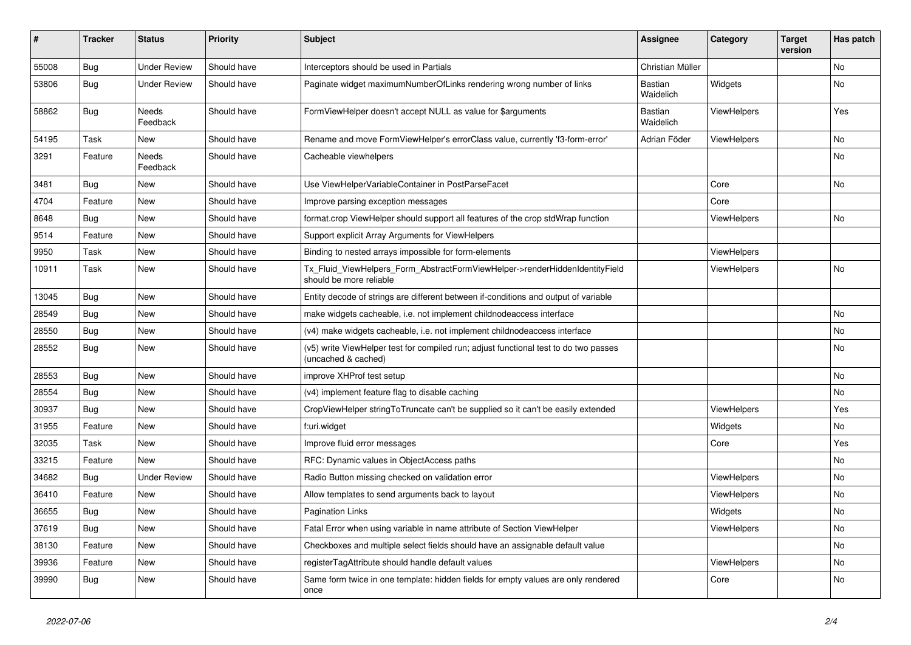| #     | <b>Tracker</b> | <b>Status</b>       | <b>Priority</b> | <b>Subject</b>                                                                                              | <b>Assignee</b>      | Category           | Target<br>version | Has patch |
|-------|----------------|---------------------|-----------------|-------------------------------------------------------------------------------------------------------------|----------------------|--------------------|-------------------|-----------|
| 55008 | Bug            | <b>Under Review</b> | Should have     | Interceptors should be used in Partials                                                                     | Christian Müller     |                    |                   | <b>No</b> |
| 53806 | <b>Bug</b>     | <b>Under Review</b> | Should have     | Paginate widget maximumNumberOfLinks rendering wrong number of links                                        | Bastian<br>Waidelich | Widgets            |                   | No        |
| 58862 | <b>Bug</b>     | Needs<br>Feedback   | Should have     | FormViewHelper doesn't accept NULL as value for \$arguments                                                 | Bastian<br>Waidelich | ViewHelpers        |                   | Yes       |
| 54195 | Task           | New                 | Should have     | Rename and move FormViewHelper's errorClass value, currently 'f3-form-error'                                | Adrian Föder         | <b>ViewHelpers</b> |                   | <b>No</b> |
| 3291  | Feature        | Needs<br>Feedback   | Should have     | Cacheable viewhelpers                                                                                       |                      |                    |                   | <b>No</b> |
| 3481  | Bug            | <b>New</b>          | Should have     | Use ViewHelperVariableContainer in PostParseFacet                                                           |                      | Core               |                   | No        |
| 4704  | Feature        | <b>New</b>          | Should have     | Improve parsing exception messages                                                                          |                      | Core               |                   |           |
| 8648  | Bug            | New                 | Should have     | format.crop ViewHelper should support all features of the crop stdWrap function                             |                      | <b>ViewHelpers</b> |                   | <b>No</b> |
| 9514  | Feature        | New                 | Should have     | Support explicit Array Arguments for ViewHelpers                                                            |                      |                    |                   |           |
| 9950  | Task           | New                 | Should have     | Binding to nested arrays impossible for form-elements                                                       |                      | <b>ViewHelpers</b> |                   |           |
| 10911 | Task           | New                 | Should have     | Tx Fluid ViewHelpers Form AbstractFormViewHelper->renderHiddenIdentityField<br>should be more reliable      |                      | <b>ViewHelpers</b> |                   | <b>No</b> |
| 13045 | <b>Bug</b>     | New                 | Should have     | Entity decode of strings are different between if-conditions and output of variable                         |                      |                    |                   |           |
| 28549 | <b>Bug</b>     | New                 | Should have     | make widgets cacheable, i.e. not implement childnodeaccess interface                                        |                      |                    |                   | <b>No</b> |
| 28550 | Bug            | New                 | Should have     | (v4) make widgets cacheable, i.e. not implement childnodeaccess interface                                   |                      |                    |                   | <b>No</b> |
| 28552 | Bug            | <b>New</b>          | Should have     | (v5) write ViewHelper test for compiled run; adjust functional test to do two passes<br>(uncached & cached) |                      |                    |                   | No        |
| 28553 | <b>Bug</b>     | New                 | Should have     | improve XHProf test setup                                                                                   |                      |                    |                   | No        |
| 28554 | Bug            | New                 | Should have     | (v4) implement feature flag to disable caching                                                              |                      |                    |                   | No        |
| 30937 | Bug            | New                 | Should have     | CropViewHelper stringToTruncate can't be supplied so it can't be easily extended                            |                      | ViewHelpers        |                   | Yes       |
| 31955 | Feature        | New                 | Should have     | f:uri.widget                                                                                                |                      | Widgets            |                   | No        |
| 32035 | Task           | <b>New</b>          | Should have     | Improve fluid error messages                                                                                |                      | Core               |                   | Yes       |
| 33215 | Feature        | <b>New</b>          | Should have     | RFC: Dynamic values in ObjectAccess paths                                                                   |                      |                    |                   | No        |
| 34682 | Bug            | <b>Under Review</b> | Should have     | Radio Button missing checked on validation error                                                            |                      | <b>ViewHelpers</b> |                   | <b>No</b> |
| 36410 | Feature        | New                 | Should have     | Allow templates to send arguments back to layout                                                            |                      | ViewHelpers        |                   | <b>No</b> |
| 36655 | Bug            | New                 | Should have     | <b>Pagination Links</b>                                                                                     |                      | Widgets            |                   | <b>No</b> |
| 37619 | Bug            | New                 | Should have     | Fatal Error when using variable in name attribute of Section ViewHelper                                     |                      | <b>ViewHelpers</b> |                   | <b>No</b> |
| 38130 | Feature        | New                 | Should have     | Checkboxes and multiple select fields should have an assignable default value                               |                      |                    |                   | No        |
| 39936 | Feature        | New                 | Should have     | registerTagAttribute should handle default values                                                           |                      | <b>ViewHelpers</b> |                   | <b>No</b> |
| 39990 | Bug            | New                 | Should have     | Same form twice in one template: hidden fields for empty values are only rendered<br>once                   |                      | Core               |                   | <b>No</b> |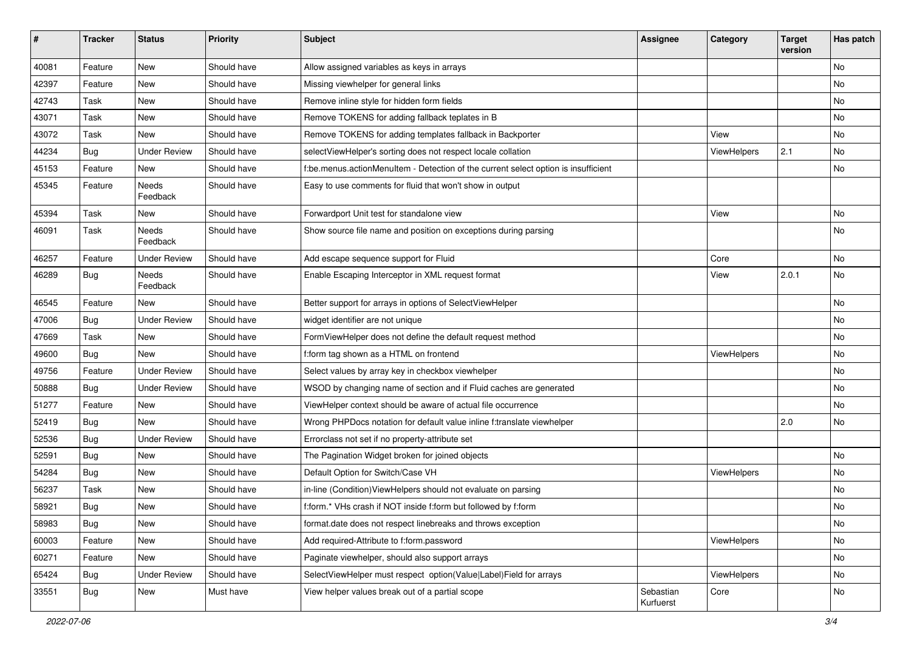| $\sharp$ | <b>Tracker</b> | <b>Status</b>       | <b>Priority</b> | <b>Subject</b>                                                                     | <b>Assignee</b>        | Category    | <b>Target</b><br>version | Has patch |
|----------|----------------|---------------------|-----------------|------------------------------------------------------------------------------------|------------------------|-------------|--------------------------|-----------|
| 40081    | Feature        | New                 | Should have     | Allow assigned variables as keys in arrays                                         |                        |             |                          | <b>No</b> |
| 42397    | Feature        | New                 | Should have     | Missing viewhelper for general links                                               |                        |             |                          | No        |
| 42743    | Task           | New                 | Should have     | Remove inline style for hidden form fields                                         |                        |             |                          | No        |
| 43071    | Task           | New                 | Should have     | Remove TOKENS for adding fallback teplates in B                                    |                        |             |                          | No        |
| 43072    | Task           | New                 | Should have     | Remove TOKENS for adding templates fallback in Backporter                          |                        | View        |                          | No        |
| 44234    | Bug            | <b>Under Review</b> | Should have     | selectViewHelper's sorting does not respect locale collation                       |                        | ViewHelpers | 2.1                      | No        |
| 45153    | Feature        | New                 | Should have     | f:be.menus.actionMenuItem - Detection of the current select option is insufficient |                        |             |                          | No        |
| 45345    | Feature        | Needs<br>Feedback   | Should have     | Easy to use comments for fluid that won't show in output                           |                        |             |                          |           |
| 45394    | Task           | New                 | Should have     | Forwardport Unit test for standalone view                                          |                        | View        |                          | No        |
| 46091    | Task           | Needs<br>Feedback   | Should have     | Show source file name and position on exceptions during parsing                    |                        |             |                          | No        |
| 46257    | Feature        | <b>Under Review</b> | Should have     | Add escape sequence support for Fluid                                              |                        | Core        |                          | No        |
| 46289    | Bug            | Needs<br>Feedback   | Should have     | Enable Escaping Interceptor in XML request format                                  |                        | View        | 2.0.1                    | No        |
| 46545    | Feature        | New                 | Should have     | Better support for arrays in options of SelectViewHelper                           |                        |             |                          | No        |
| 47006    | Bug            | <b>Under Review</b> | Should have     | widget identifier are not unique                                                   |                        |             |                          | No        |
| 47669    | Task           | New                 | Should have     | FormViewHelper does not define the default request method                          |                        |             |                          | No        |
| 49600    | Bug            | New                 | Should have     | f:form tag shown as a HTML on frontend                                             |                        | ViewHelpers |                          | No        |
| 49756    | Feature        | <b>Under Review</b> | Should have     | Select values by array key in checkbox viewhelper                                  |                        |             |                          | No        |
| 50888    | Bug            | <b>Under Review</b> | Should have     | WSOD by changing name of section and if Fluid caches are generated                 |                        |             |                          | No        |
| 51277    | Feature        | <b>New</b>          | Should have     | ViewHelper context should be aware of actual file occurrence                       |                        |             |                          | No        |
| 52419    | Bug            | New                 | Should have     | Wrong PHPDocs notation for default value inline f:translate viewhelper             |                        |             | 2.0                      | No        |
| 52536    | Bug            | <b>Under Review</b> | Should have     | Errorclass not set if no property-attribute set                                    |                        |             |                          |           |
| 52591    | Bug            | New                 | Should have     | The Pagination Widget broken for joined objects                                    |                        |             |                          | <b>No</b> |
| 54284    | <b>Bug</b>     | New                 | Should have     | Default Option for Switch/Case VH                                                  |                        | ViewHelpers |                          | No        |
| 56237    | Task           | New                 | Should have     | in-line (Condition) View Helpers should not evaluate on parsing                    |                        |             |                          | <b>No</b> |
| 58921    | <b>Bug</b>     | New                 | Should have     | f:form.* VHs crash if NOT inside f:form but followed by f:form                     |                        |             |                          | No        |
| 58983    | <b>Bug</b>     | New                 | Should have     | format.date does not respect linebreaks and throws exception                       |                        |             |                          | No        |
| 60003    | Feature        | New                 | Should have     | Add required-Attribute to f:form.password                                          |                        | ViewHelpers |                          | No        |
| 60271    | Feature        | New                 | Should have     | Paginate viewhelper, should also support arrays                                    |                        |             |                          | No        |
| 65424    | Bug            | <b>Under Review</b> | Should have     | SelectViewHelper must respect option(Value Label)Field for arrays                  |                        | ViewHelpers |                          | No        |
| 33551    | <b>Bug</b>     | New                 | Must have       | View helper values break out of a partial scope                                    | Sebastian<br>Kurfuerst | Core        |                          | No        |